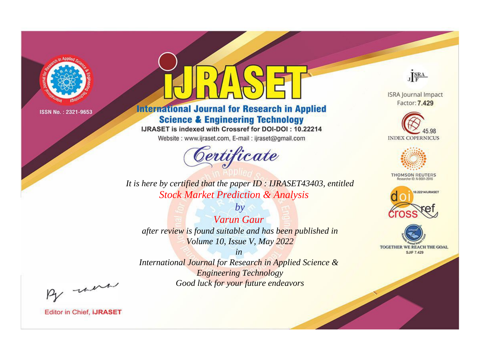

# **International Journal for Research in Applied Science & Engineering Technology**

IJRASET is indexed with Crossref for DOI-DOI: 10.22214

Website: www.ijraset.com, E-mail: ijraset@gmail.com



JERA

**ISRA Journal Impact** Factor: 7.429





**THOMSON REUTERS** 



TOGETHER WE REACH THE GOAL **SJIF 7.429** 

It is here by certified that the paper ID : IJRASET43403, entitled **Stock Market Prediction & Analysis** 

 $b\nu$ **Varun Gaur** after review is found suitable and has been published in Volume 10, Issue V, May 2022

 $in$ International Journal for Research in Applied Science & **Engineering Technology** Good luck for your future endeavors

By morn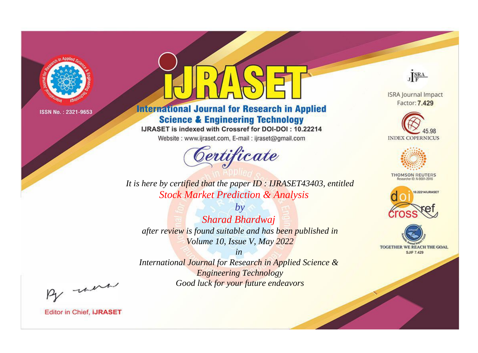

# **International Journal for Research in Applied Science & Engineering Technology**

IJRASET is indexed with Crossref for DOI-DOI: 10.22214

Website: www.ijraset.com, E-mail: ijraset@gmail.com



JERA

**ISRA Journal Impact** Factor: 7.429





**THOMSON REUTERS** 



TOGETHER WE REACH THE GOAL **SJIF 7.429** 

*It is here by certified that the paper ID : IJRASET43403, entitled Stock Market Prediction & Analysis*

*by Sharad Bhardwaj after review is found suitable and has been published in Volume 10, Issue V, May 2022*

*in* 

*International Journal for Research in Applied Science & Engineering Technology Good luck for your future endeavors*

By morn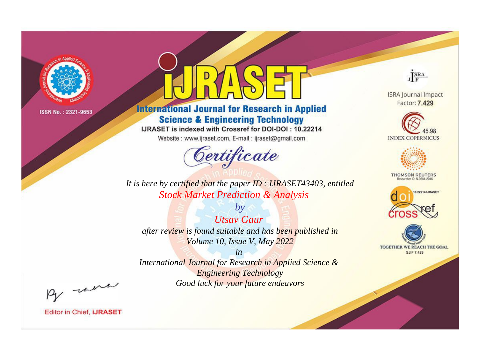

# **International Journal for Research in Applied Science & Engineering Technology**

IJRASET is indexed with Crossref for DOI-DOI: 10.22214

Website: www.ijraset.com, E-mail: ijraset@gmail.com



JERA

**ISRA Journal Impact** Factor: 7.429





**THOMSON REUTERS** 



TOGETHER WE REACH THE GOAL **SJIF 7.429** 

*It is here by certified that the paper ID : IJRASET43403, entitled Stock Market Prediction & Analysis*

*Utsav Gaur after review is found suitable and has been published in Volume 10, Issue V, May 2022*

*by*

*in* 

*International Journal for Research in Applied Science & Engineering Technology Good luck for your future endeavors*

By morn